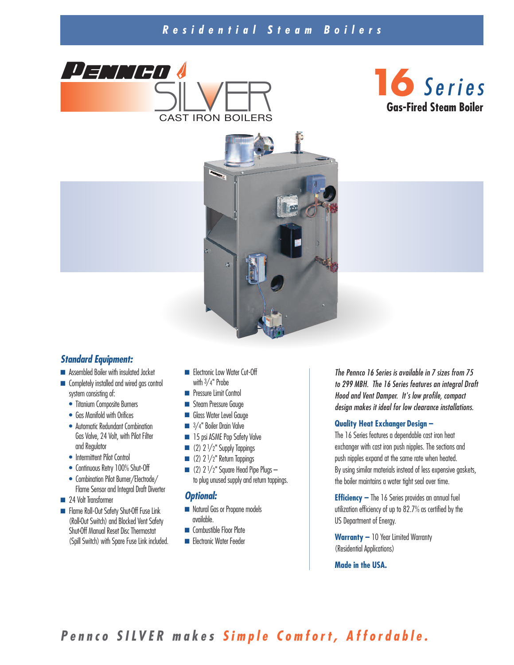# *R e s i d e n t i a l S t e a m B o i l e r s*







### *Standard Equipment:*

- **■** Assembled Boiler with insulated Jacket
- **■** Completely installed and wired gas control system consisting of:
	- Titanium Composite Burners
	- Gas Manifold with Orifices
	- Automatic Redundant Combination Gas Valve, 24 Volt, with Pilot Filter and Regulator
	- Intermittent Pilot Control
	- Continuous Retry 100% Shut-Off
	- Combination Pilot Burner/Electrode/ Flame Sensor and Integral Draft Diverter
- 24 Volt Transformer
- **■** Flame Roll-Out Safety Shut-Off Fuse Link (Roll-Out Switch) and Blocked Vent Safety Shut-Off Manual Reset Disc Thermostat (Spill Switch) with Spare Fuse Link included.
- Electronic Low Water Cut-Off with  $3/4$ " Probe
- **■** Pressure Limit Control
- Steam Pressure Gauge
- **■** Glass Water Level Gauge
- <sup>3</sup>/<sub>4</sub>" Boiler Drain Valve
- 15 psi ASME Pop Safety Valve
- (2) 2<sup>1</sup>/2" Supply Tappings
- $\blacksquare$  (2)  $2^{1}/2$ " Return Tappings
- $\Box$  (2) 2  $1/2$ " Square Head Pipe Plugs to plug unused supply and return tappings.

#### *Optional:*

- Natural Gas or Propane models available.
- **■** Combustible Floor Plate
- Electronic Water Feeder

*The Pennco 16 Series is available in 7 sizes from 75 to 299 MBH. The 16 Series features an integral Draft Hood and Vent Damper. It's low profile, compact design makes it ideal for low clearance installations.*

#### **Quality Heat Exchanger Design –**

The 16 Series features a dependable cast iron heat exchanger with cast iron push nipples. The sections and push nipples expand at the same rate when heated. By using similar materials instead of less expensive gaskets, the boiler maintains a water tight seal over time.

**Efficiency –** The 16 Series provides an annual fuel utilization efficiency of up to 82.7% as certified by the US Department of Energy.

**Warranty –** 10 Year Limited Warranty (Residential Applications)

**Made in the USA.**

Pennco SILVER makes Simple Comfort, Affordable.